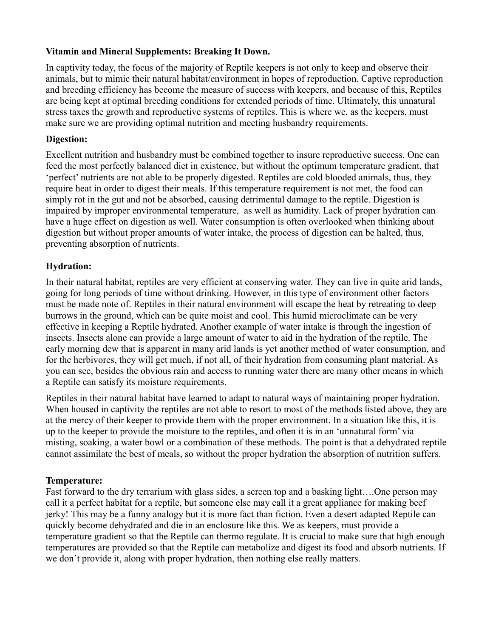## **Vitamin and Mineral Supplements: Breaking It Down.**

In captivity today, the focus of the majority of Reptile keepers is not only to keep and observe their animals, but to mimic their natural habitat/environment in hopes of reproduction. Captive reproduction and breeding efficiency has become the measure of success with keepers, and because of this, Reptiles are being kept at optimal breeding conditions for extended periods of time. Ultimately, this unnatural stress taxes the growth and reproductive systems of reptiles. This is where we, as the keepers, must make sure we are providing optimal nutrition and meeting husbandry requirements.

## **Digestion:**

Excellent nutrition and husbandry must be combined together to insure reproductive success. One can feed the most perfectly balanced diet in existence, but without the optimum temperature gradient, that 'perfect' nutrients are not able to be properly digested. Reptiles are cold blooded animals, thus, they require heat in order to digest their meals. If this temperature requirement is not met, the food can simply rot in the gut and not be absorbed, causing detrimental damage to the reptile. Digestion is impaired by improper environmental temperature, as well as humidity. Lack of proper hydration can have a huge effect on digestion as well. Water consumption is often overlooked when thinking about digestion but without proper amounts of water intake, the process of digestion can be halted, thus, preventing absorption of nutrients.

## **Hydration:**

In their natural habitat, reptiles are very efficient at conserving water. They can live in quite arid lands, going for long periods of time without drinking. However, in this type of environment other factors must be made note of. Reptiles in their natural environment will escape the heat by retreating to deep burrows in the ground, which can be quite moist and cool. This humid microclimate can be very effective in keeping a Reptile hydrated. Another example of water intake is through the ingestion of insects. Insects alone can provide a large amount of water to aid in the hydration of the reptile. The early morning dew that is apparent in many arid lands is yet another method of water consumption, and for the herbivores, they will get much, if not all, of their hydration from consuming plant material. As you can see, besides the obvious rain and access to running water there are many other means in which a Reptile can satisfy its moisture requirements.

Reptiles in their natural habitat have learned to adapt to natural ways of maintaining proper hydration. When housed in captivity the reptiles are not able to resort to most of the methods listed above, they are at the mercy of their keeper to provide them with the proper environment. In a situation like this, it is up to the keeper to provide the moisture to the reptiles, and often it is in an 'unnatural form' via misting, soaking, a water bowl or a combination of these methods. The point is that a dehydrated reptile cannot assimilate the best of meals, so without the proper hydration the absorption of nutrition suffers.

#### **Temperature:**

Fast forward to the dry terrarium with glass sides, a screen top and a basking light….One person may call it a perfect habitat for a reptile, but someone else may call it a great appliance for making beef jerky! This may be a funny analogy but it is more fact than fiction. Even a desert adapted Reptile can quickly become dehydrated and die in an enclosure like this. We as keepers, must provide a temperature gradient so that the Reptile can thermo regulate. It is crucial to make sure that high enough temperatures are provided so that the Reptile can metabolize and digest its food and absorb nutrients. If we don't provide it, along with proper hydration, then nothing else really matters.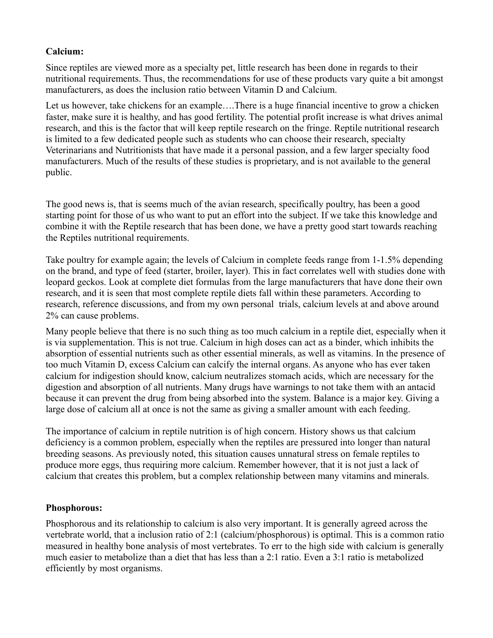# **Calcium:**

Since reptiles are viewed more as a specialty pet, little research has been done in regards to their nutritional requirements. Thus, the recommendations for use of these products vary quite a bit amongst manufacturers, as does the inclusion ratio between Vitamin D and Calcium.

Let us however, take chickens for an example….There is a huge financial incentive to grow a chicken faster, make sure it is healthy, and has good fertility. The potential profit increase is what drives animal research, and this is the factor that will keep reptile research on the fringe. Reptile nutritional research is limited to a few dedicated people such as students who can choose their research, specialty Veterinarians and Nutritionists that have made it a personal passion, and a few larger specialty food manufacturers. Much of the results of these studies is proprietary, and is not available to the general public.

The good news is, that is seems much of the avian research, specifically poultry, has been a good starting point for those of us who want to put an effort into the subject. If we take this knowledge and combine it with the Reptile research that has been done, we have a pretty good start towards reaching the Reptiles nutritional requirements.

Take poultry for example again; the levels of Calcium in complete feeds range from 1-1.5% depending on the brand, and type of feed (starter, broiler, layer). This in fact correlates well with studies done with leopard geckos. Look at complete diet formulas from the large manufacturers that have done their own research, and it is seen that most complete reptile diets fall within these parameters. According to research, reference discussions, and from my own personal trials, calcium levels at and above around 2% can cause problems.

Many people believe that there is no such thing as too much calcium in a reptile diet, especially when it is via supplementation. This is not true. Calcium in high doses can act as a binder, which inhibits the absorption of essential nutrients such as other essential minerals, as well as vitamins. In the presence of too much Vitamin D, excess Calcium can calcify the internal organs. As anyone who has ever taken calcium for indigestion should know, calcium neutralizes stomach acids, which are necessary for the digestion and absorption of all nutrients. Many drugs have warnings to not take them with an antacid because it can prevent the drug from being absorbed into the system. Balance is a major key. Giving a large dose of calcium all at once is not the same as giving a smaller amount with each feeding.

The importance of calcium in reptile nutrition is of high concern. History shows us that calcium deficiency is a common problem, especially when the reptiles are pressured into longer than natural breeding seasons. As previously noted, this situation causes unnatural stress on female reptiles to produce more eggs, thus requiring more calcium. Remember however, that it is not just a lack of calcium that creates this problem, but a complex relationship between many vitamins and minerals.

# **Phosphorous:**

Phosphorous and its relationship to calcium is also very important. It is generally agreed across the vertebrate world, that a inclusion ratio of 2:1 (calcium/phosphorous) is optimal. This is a common ratio measured in healthy bone analysis of most vertebrates. To err to the high side with calcium is generally much easier to metabolize than a diet that has less than a 2:1 ratio. Even a 3:1 ratio is metabolized efficiently by most organisms.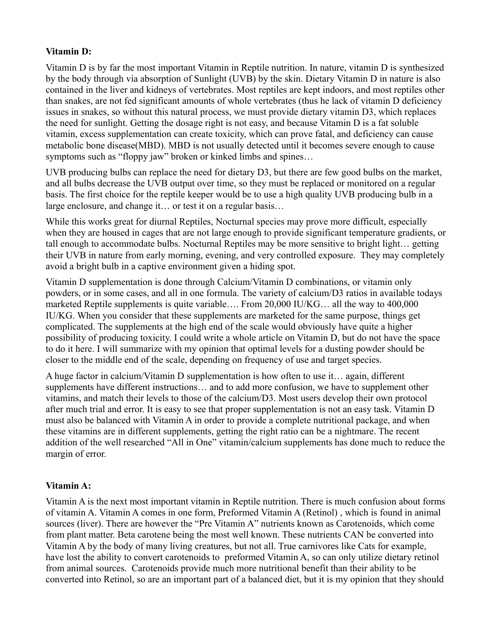# **Vitamin D:**

Vitamin D is by far the most important Vitamin in Reptile nutrition. In nature, vitamin D is synthesized by the body through via absorption of Sunlight (UVB) by the skin. Dietary Vitamin D in nature is also contained in the liver and kidneys of vertebrates. Most reptiles are kept indoors, and most reptiles other than snakes, are not fed significant amounts of whole vertebrates (thus he lack of vitamin D deficiency issues in snakes, so without this natural process, we must provide dietary vitamin D3, which replaces the need for sunlight. Getting the dosage right is not easy, and because Vitamin D is a fat soluble vitamin, excess supplementation can create toxicity, which can prove fatal, and deficiency can cause metabolic bone disease(MBD). MBD is not usually detected until it becomes severe enough to cause symptoms such as "floppy jaw" broken or kinked limbs and spines...

UVB producing bulbs can replace the need for dietary D3, but there are few good bulbs on the market, and all bulbs decrease the UVB output over time, so they must be replaced or monitored on a regular basis. The first choice for the reptile keeper would be to use a high quality UVB producing bulb in a large enclosure, and change it… or test it on a regular basis…

While this works great for diurnal Reptiles, Nocturnal species may prove more difficult, especially when they are housed in cages that are not large enough to provide significant temperature gradients, or tall enough to accommodate bulbs. Nocturnal Reptiles may be more sensitive to bright light… getting their UVB in nature from early morning, evening, and very controlled exposure. They may completely avoid a bright bulb in a captive environment given a hiding spot.

Vitamin D supplementation is done through Calcium/Vitamin D combinations, or vitamin only powders, or in some cases, and all in one formula. The variety of calcium/D3 ratios in available todays marketed Reptile supplements is quite variable…. From 20,000 IU/KG… all the way to 400,000 IU/KG. When you consider that these supplements are marketed for the same purpose, things get complicated. The supplements at the high end of the scale would obviously have quite a higher possibility of producing toxicity. I could write a whole article on Vitamin D, but do not have the space to do it here. I will summarize with my opinion that optimal levels for a dusting powder should be closer to the middle end of the scale, depending on frequency of use and target species.

A huge factor in calcium/Vitamin D supplementation is how often to use it… again, different supplements have different instructions… and to add more confusion, we have to supplement other vitamins, and match their levels to those of the calcium/D3. Most users develop their own protocol after much trial and error. It is easy to see that proper supplementation is not an easy task. Vitamin D must also be balanced with Vitamin A in order to provide a complete nutritional package, and when these vitamins are in different supplements, getting the right ratio can be a nightmare. The recent addition of the well researched "All in One" vitamin/calcium supplements has done much to reduce the margin of error.

# **Vitamin A:**

Vitamin A is the next most important vitamin in Reptile nutrition. There is much confusion about forms of vitamin A. Vitamin A comes in one form, Preformed Vitamin A (Retinol) , which is found in animal sources (liver). There are however the "Pre Vitamin A" nutrients known as Carotenoids, which come from plant matter. Beta carotene being the most well known. These nutrients CAN be converted into Vitamin A by the body of many living creatures, but not all. True carnivores like Cats for example, have lost the ability to convert carotenoids to preformed Vitamin A, so can only utilize dietary retinol from animal sources. Carotenoids provide much more nutritional benefit than their ability to be converted into Retinol, so are an important part of a balanced diet, but it is my opinion that they should